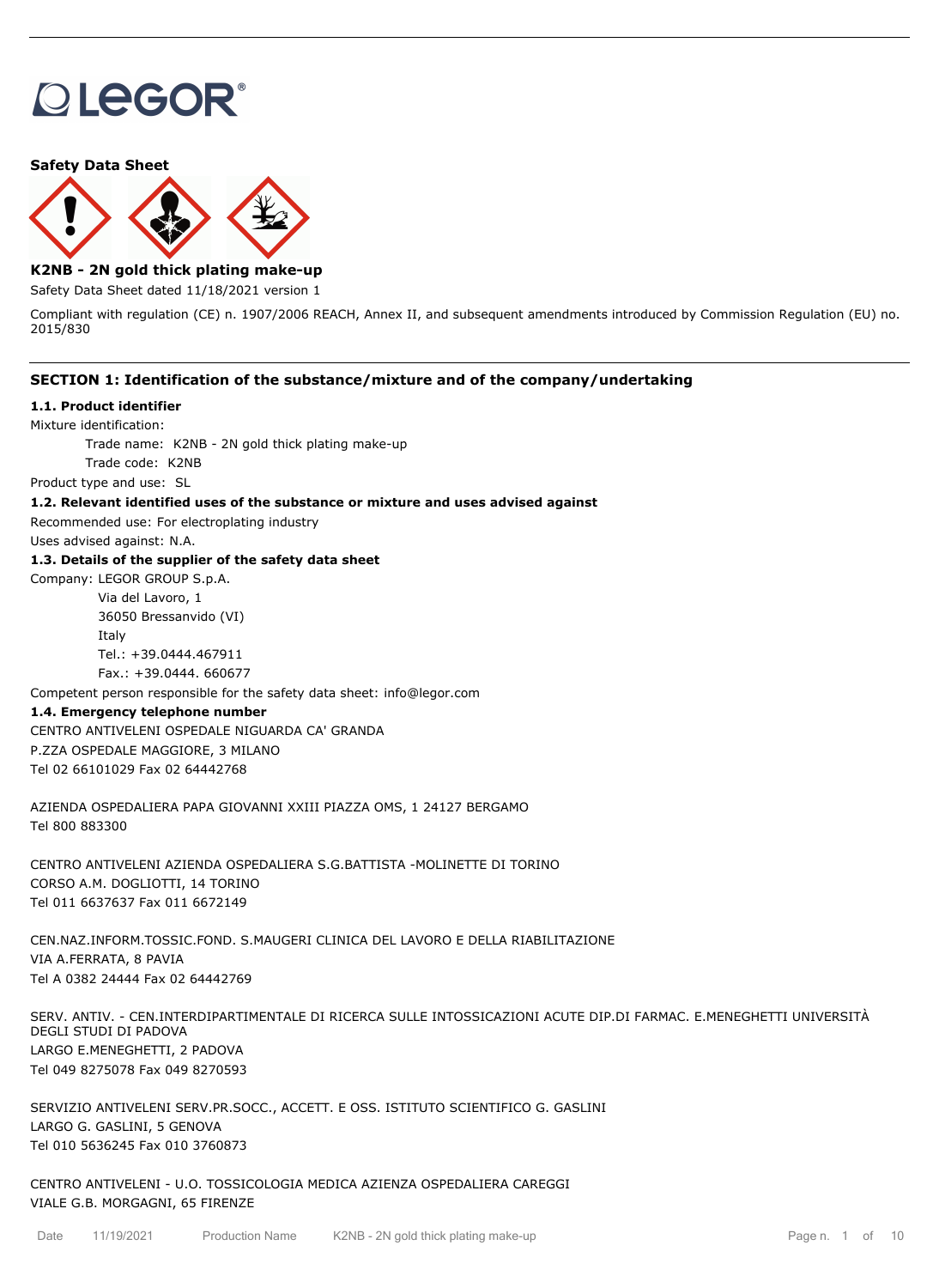# **OLEGOR®**

#### **Safety Data Sheet**



## **K2NB - 2N gold thick plating make-up**

Safety Data Sheet dated 11/18/2021 version 1

Compliant with regulation (CE) n. 1907/2006 REACH, Annex II, and subsequent amendments introduced by Commission Regulation (EU) no. 2015/830

## **SECTION 1: Identification of the substance/mixture and of the company/undertaking**

#### **1.1. Product identifier**

Mixture identification:

Trade name: K2NB - 2N gold thick plating make-up

Trade code: K2NB

Product type and use: SL

#### **1.2. Relevant identified uses of the substance or mixture and uses advised against**

Recommended use: For electroplating industry

Uses advised against: N.A.

## **1.3. Details of the supplier of the safety data sheet**

Company: LEGOR GROUP S.p.A.

Via del Lavoro, 1 36050 Bressanvido (VI) Italy Tel.: +39.0444.467911 Fax.: +39.0444. 660677

Competent person responsible for the safety data sheet: info@legor.com

#### **1.4. Emergency telephone number**

CENTRO ANTIVELENI OSPEDALE NIGUARDA CA' GRANDA P.ZZA OSPEDALE MAGGIORE, 3 MILANO Tel 02 66101029 Fax 02 64442768

AZIENDA OSPEDALIERA PAPA GIOVANNI XXIII PIAZZA OMS, 1 24127 BERGAMO Tel 800 883300

CENTRO ANTIVELENI AZIENDA OSPEDALIERA S.G.BATTISTA -MOLINETTE DI TORINO CORSO A.M. DOGLIOTTI, 14 TORINO Tel 011 6637637 Fax 011 6672149

CEN.NAZ.INFORM.TOSSIC.FOND. S.MAUGERI CLINICA DEL LAVORO E DELLA RIABILITAZIONE VIA A.FERRATA, 8 PAVIA Tel A 0382 24444 Fax 02 64442769

SERV. ANTIV. - CEN.INTERDIPARTIMENTALE DI RICERCA SULLE INTOSSICAZIONI ACUTE DIP.DI FARMAC. E.MENEGHETTI UNIVERSITÀ DEGLI STUDI DI PADOVA LARGO E.MENEGHETTI, 2 PADOVA Tel 049 8275078 Fax 049 8270593

SERVIZIO ANTIVELENI SERV.PR.SOCC., ACCETT. E OSS. ISTITUTO SCIENTIFICO G. GASLINI LARGO G. GASLINI, 5 GENOVA Tel 010 5636245 Fax 010 3760873

CENTRO ANTIVELENI - U.O. TOSSICOLOGIA MEDICA AZIENZA OSPEDALIERA CAREGGI VIALE G.B. MORGAGNI, 65 FIRENZE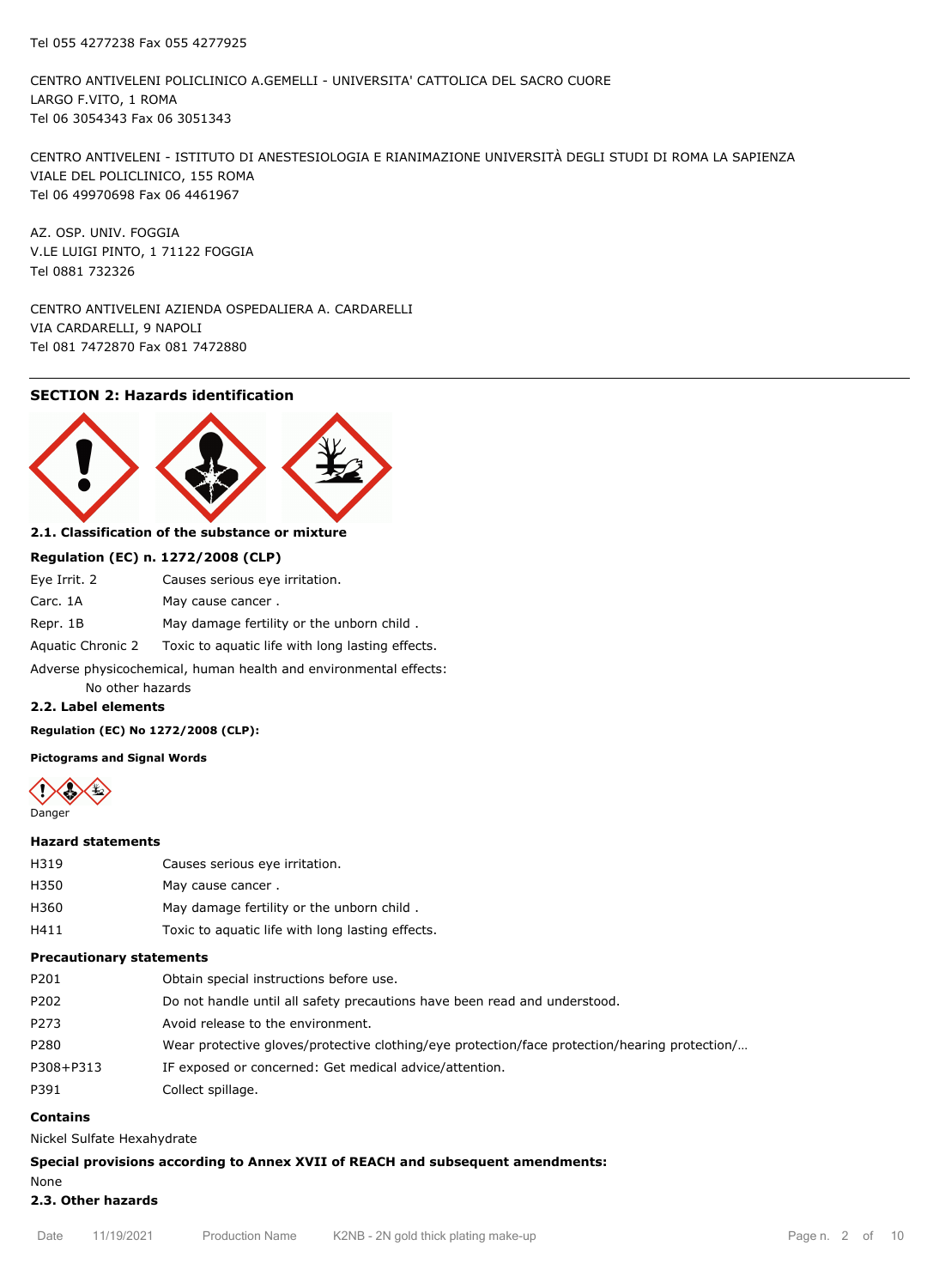CENTRO ANTIVELENI POLICLINICO A.GEMELLI - UNIVERSITA' CATTOLICA DEL SACRO CUORE LARGO F.VITO, 1 ROMA Tel 06 3054343 Fax 06 3051343

CENTRO ANTIVELENI - ISTITUTO DI ANESTESIOLOGIA E RIANIMAZIONE UNIVERSITÀ DEGLI STUDI DI ROMA LA SAPIENZA VIALE DEL POLICLINICO, 155 ROMA Tel 06 49970698 Fax 06 4461967

AZ. OSP. UNIV. FOGGIA V.LE LUIGI PINTO, 1 71122 FOGGIA Tel 0881 732326

CENTRO ANTIVELENI AZIENDA OSPEDALIERA A. CARDARELLI VIA CARDARELLI, 9 NAPOLI Tel 081 7472870 Fax 081 7472880

## **SECTION 2: Hazards identification**



## **2.1. Classification of the substance or mixture**

#### **Regulation (EC) n. 1272/2008 (CLP)**

| Eye Irrit. 2                                                     | Causes serious eye irritation.                                     |  |  |
|------------------------------------------------------------------|--------------------------------------------------------------------|--|--|
| Carc. 1A                                                         | May cause cancer.                                                  |  |  |
| Repr. 1B                                                         | May damage fertility or the unborn child.                          |  |  |
|                                                                  | Aquatic Chronic 2 Toxic to aquatic life with long lasting effects. |  |  |
| Adverse physicochemical, human health and environmental effects: |                                                                    |  |  |

No other hazards

## **2.2. Label elements**

#### **Regulation (EC) No 1272/2008 (CLP):**

#### **Pictograms and Signal Words**



#### **Hazard statements**

| H319 | Causes serious eye irritation. |
|------|--------------------------------|
|      |                                |

- H350 May cause cancer.
- H360 May damage fertility or the unborn child .
- H411 Toxic to aquatic life with long lasting effects.

#### **Precautionary statements**

| P201      | Obtain special instructions before use.                                                       |
|-----------|-----------------------------------------------------------------------------------------------|
| P202      | Do not handle until all safety precautions have been read and understood.                     |
| P273      | Avoid release to the environment.                                                             |
| P280      | Wear protective gloves/protective clothing/eye protection/face protection/hearing protection/ |
| P308+P313 | IF exposed or concerned: Get medical advice/attention.                                        |
| P391      | Collect spillage.                                                                             |

## **Contains**

Nickel Sulfate Hexahydrate

## **Special provisions according to Annex XVII of REACH and subsequent amendments:**

## None **2.3. Other hazards**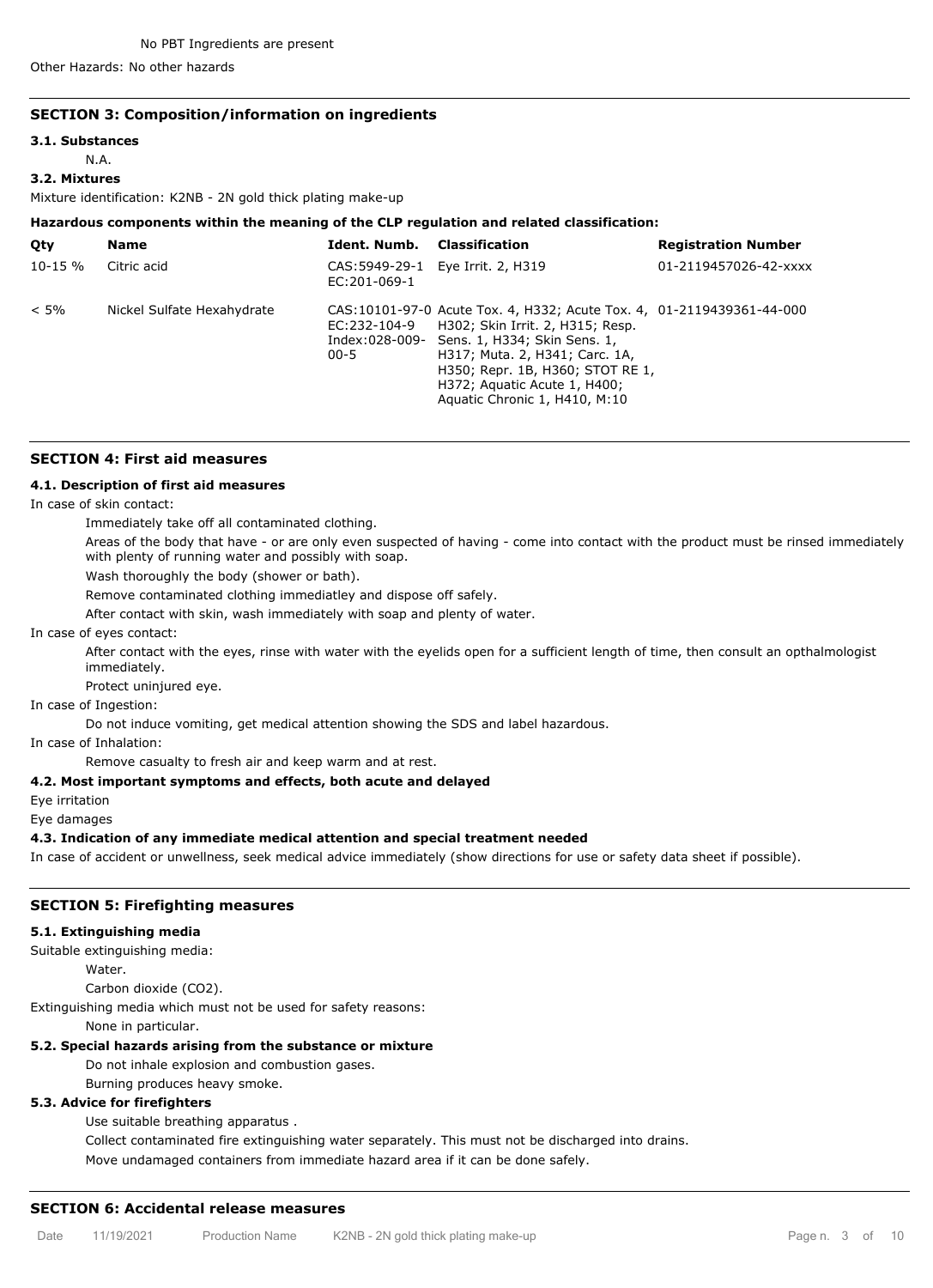Other Hazards: No other hazards

#### **SECTION 3: Composition/information on ingredients**

#### **3.1. Substances**

# N.A.

# **3.2. Mixtures**

Mixture identification: K2NB - 2N gold thick plating make-up

## **Hazardous components within the meaning of the CLP regulation and related classification:**

| Qty        | <b>Name</b>                | Ident. Numb.             | Classification                                                                                                                                                                                                                                                                                  | <b>Registration Number</b> |
|------------|----------------------------|--------------------------|-------------------------------------------------------------------------------------------------------------------------------------------------------------------------------------------------------------------------------------------------------------------------------------------------|----------------------------|
| $10 - 15%$ | Citric acid                | EC:201-069-1             | CAS: 5949-29-1 Eye Irrit. 2, H319                                                                                                                                                                                                                                                               | 01-2119457026-42-xxxx      |
| $< 5\%$    | Nickel Sulfate Hexahydrate | EC:232-104-9<br>$00 - 5$ | CAS:10101-97-0 Acute Tox. 4, H332; Acute Tox. 4, 01-2119439361-44-000<br>H302; Skin Irrit. 2, H315; Resp.<br>Index:028-009- Sens. 1, H334; Skin Sens. 1,<br>H317; Muta. 2, H341; Carc. 1A,<br>H350; Repr. 1B, H360; STOT RE 1,<br>H372; Aquatic Acute 1, H400;<br>Aquatic Chronic 1, H410, M:10 |                            |

## **SECTION 4: First aid measures**

## **4.1. Description of first aid measures**

In case of skin contact:

Immediately take off all contaminated clothing.

Areas of the body that have - or are only even suspected of having - come into contact with the product must be rinsed immediately with plenty of running water and possibly with soap.

Wash thoroughly the body (shower or bath).

Remove contaminated clothing immediatley and dispose off safely.

After contact with skin, wash immediately with soap and plenty of water.

In case of eyes contact:

After contact with the eyes, rinse with water with the eyelids open for a sufficient length of time, then consult an opthalmologist immediately.

Protect uninjured eye.

In case of Ingestion:

Do not induce vomiting, get medical attention showing the SDS and label hazardous.

In case of Inhalation:

Remove casualty to fresh air and keep warm and at rest.

#### **4.2. Most important symptoms and effects, both acute and delayed**

Eye irritation

Eye damages

**4.3. Indication of any immediate medical attention and special treatment needed**

In case of accident or unwellness, seek medical advice immediately (show directions for use or safety data sheet if possible).

#### **SECTION 5: Firefighting measures**

### **5.1. Extinguishing media**

Suitable extinguishing media:

**Water** 

Carbon dioxide (CO2).

Extinguishing media which must not be used for safety reasons:

None in particular.

#### **5.2. Special hazards arising from the substance or mixture**

Do not inhale explosion and combustion gases.

Burning produces heavy smoke.

#### **5.3. Advice for firefighters**

Use suitable breathing apparatus .

Collect contaminated fire extinguishing water separately. This must not be discharged into drains.

Move undamaged containers from immediate hazard area if it can be done safely.

#### **SECTION 6: Accidental release measures**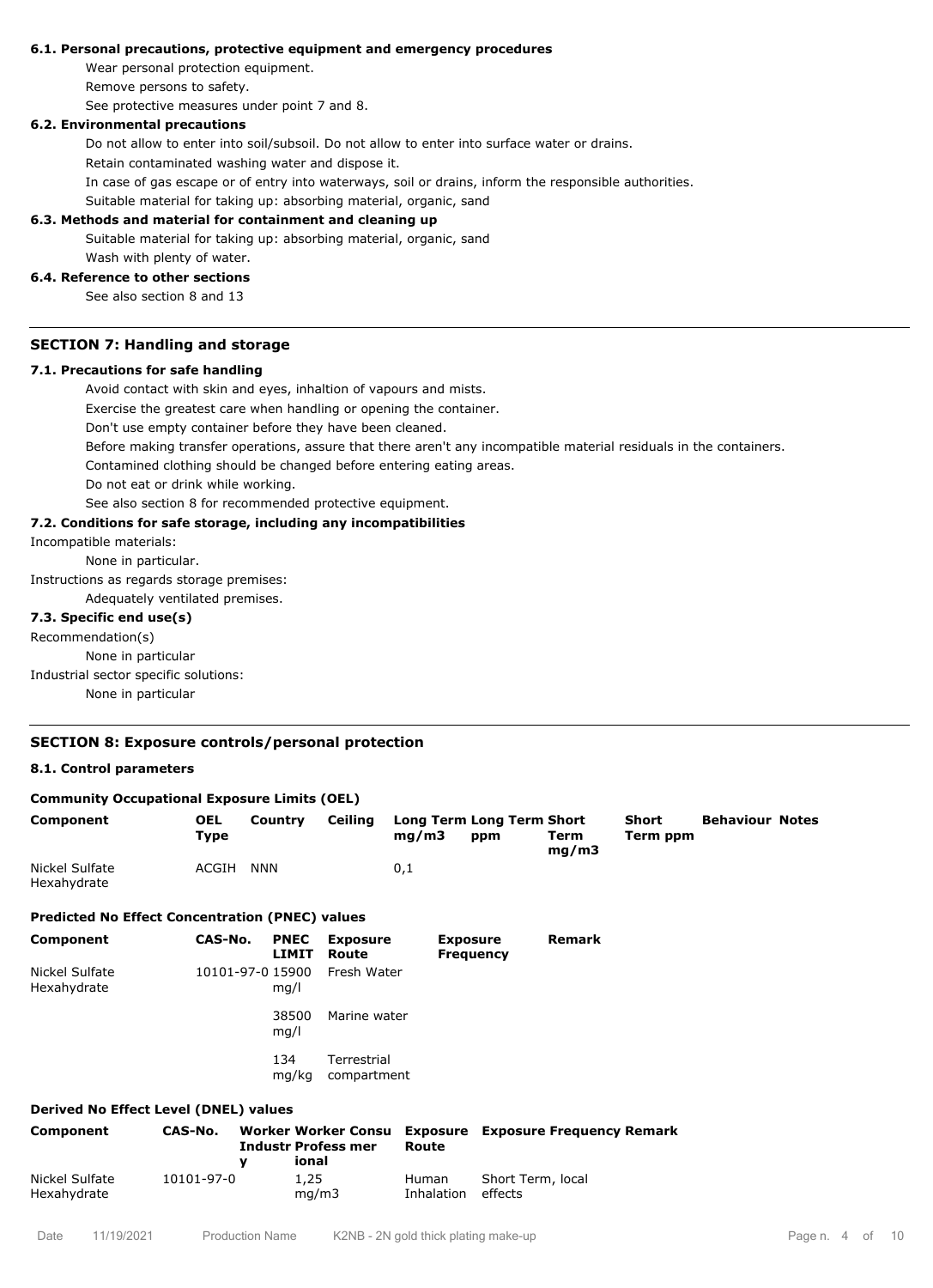#### **6.1. Personal precautions, protective equipment and emergency procedures**

Wear personal protection equipment. Remove persons to safety.

See protective measures under point 7 and 8.

## **6.2. Environmental precautions**

Do not allow to enter into soil/subsoil. Do not allow to enter into surface water or drains.

Retain contaminated washing water and dispose it.

In case of gas escape or of entry into waterways, soil or drains, inform the responsible authorities.

Suitable material for taking up: absorbing material, organic, sand

#### **6.3. Methods and material for containment and cleaning up**

Suitable material for taking up: absorbing material, organic, sand Wash with plenty of water.

#### **6.4. Reference to other sections**

See also section 8 and 13

## **SECTION 7: Handling and storage**

#### **7.1. Precautions for safe handling**

Avoid contact with skin and eyes, inhaltion of vapours and mists.

Exercise the greatest care when handling or opening the container.

Don't use empty container before they have been cleaned.

Before making transfer operations, assure that there aren't any incompatible material residuals in the containers.

Contamined clothing should be changed before entering eating areas.

Do not eat or drink while working.

See also section 8 for recommended protective equipment.

#### **7.2. Conditions for safe storage, including any incompatibilities**

Incompatible materials:

None in particular.

Instructions as regards storage premises:

Adequately ventilated premises.

#### **7.3. Specific end use(s)**

Recommendation(s)

None in particular

Industrial sector specific solutions:

None in particular

## **SECTION 8: Exposure controls/personal protection**

### **8.1. Control parameters**

Hexahydrate

| <b>Community Occupational Exposure Limits (OEL)</b>    |                           |                                                                        |                            |                          |                                         |                                  |                          |                        |  |
|--------------------------------------------------------|---------------------------|------------------------------------------------------------------------|----------------------------|--------------------------|-----------------------------------------|----------------------------------|--------------------------|------------------------|--|
| Component                                              | <b>OEL</b><br><b>Type</b> | Country                                                                | Ceiling                    | mg/m3                    | <b>Long Term Long Term Short</b><br>ppm | Term<br>mg/m3                    | <b>Short</b><br>Term ppm | <b>Behaviour Notes</b> |  |
| Nickel Sulfate<br>Hexahydrate                          | ACGIH                     | <b>NNN</b>                                                             |                            | 0,1                      |                                         |                                  |                          |                        |  |
| <b>Predicted No Effect Concentration (PNEC) values</b> |                           |                                                                        |                            |                          |                                         |                                  |                          |                        |  |
| Component                                              | CAS-No.                   | <b>PNEC</b><br><b>LIMIT</b>                                            | <b>Exposure</b><br>Route   |                          | <b>Exposure</b><br><b>Frequency</b>     | <b>Remark</b>                    |                          |                        |  |
| Nickel Sulfate<br>Hexahydrate                          |                           | 10101-97-0 15900<br>mq/l                                               | Fresh Water                |                          |                                         |                                  |                          |                        |  |
|                                                        |                           | 38500<br>mq/l                                                          | Marine water               |                          |                                         |                                  |                          |                        |  |
|                                                        |                           | 134<br>mg/kg                                                           | Terrestrial<br>compartment |                          |                                         |                                  |                          |                        |  |
| Derived No Effect Level (DNEL) values                  |                           |                                                                        |                            |                          |                                         |                                  |                          |                        |  |
| Component                                              | CAS-No.                   | <b>Worker Worker Consu</b><br><b>Industr Profess mer</b><br>ional<br>v |                            | <b>Exposure</b><br>Route |                                         | <b>Exposure Frequency Remark</b> |                          |                        |  |
| Nickel Sulfate                                         | 10101-97-0                | 1,25                                                                   |                            | Human                    | Short Term, local                       |                                  |                          |                        |  |

Inhalation

effects

mg/m3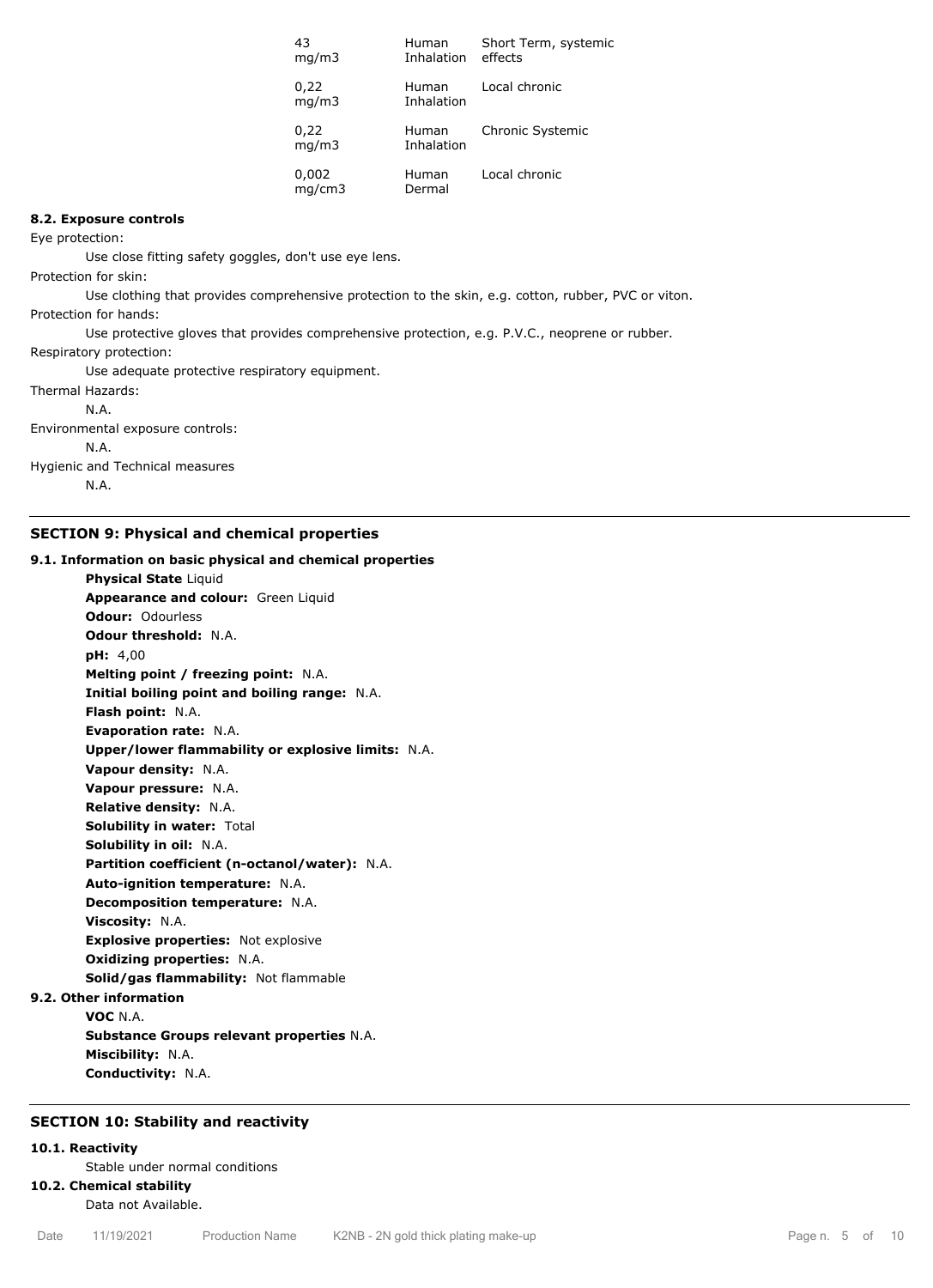| 43<br>mq/m3     | Human<br>Inhalation | Short Term, systemic<br>effects |
|-----------------|---------------------|---------------------------------|
| 0,22<br>mq/m3   | Human<br>Inhalation | Local chronic                   |
| 0,22<br>mq/m3   | Human<br>Inhalation | Chronic Systemic                |
| 0,002<br>mq/cm3 | Human<br>Dermal     | Local chronic                   |

## **8.2. Exposure controls**

Eye protection:

Use close fitting safety goggles, don't use eye lens.

Protection for skin:

Use clothing that provides comprehensive protection to the skin, e.g. cotton, rubber, PVC or viton.

Protection for hands:

Use protective gloves that provides comprehensive protection, e.g. P.V.C., neoprene or rubber.

Respiratory protection:

Use adequate protective respiratory equipment.

Thermal Hazards: N.A. Environmental exposure controls: N.A. Hygienic and Technical measures

N.A.

## **SECTION 9: Physical and chemical properties**

## **9.1. Information on basic physical and chemical properties**

**Physical State** Liquid **Appearance and colour:** Green Liquid **Odour:** Odourless **Odour threshold:** N.A. **pH:** 4,00 **Melting point / freezing point:** N.A. **Initial boiling point and boiling range:** N.A. **Flash point:** N.A. **Evaporation rate:** N.A. **Upper/lower flammability or explosive limits:** N.A. **Vapour density:** N.A. **Vapour pressure:** N.A. **Relative density:** N.A. **Solubility in water:** Total **Solubility in oil:** N.A. **Partition coefficient (n-octanol/water):** N.A. **Auto-ignition temperature:** N.A. **Decomposition temperature:** N.A. **Viscosity:** N.A. **Explosive properties:** Not explosive **Oxidizing properties:** N.A. **Solid/gas flammability:** Not flammable **9.2. Other information**

**VOC** N.A.

**Substance Groups relevant properties** N.A. **Miscibility:** N.A. **Conductivity:** N.A.

#### **SECTION 10: Stability and reactivity**

## **10.1. Reactivity**

Stable under normal conditions

## **10.2. Chemical stability**

Data not Available.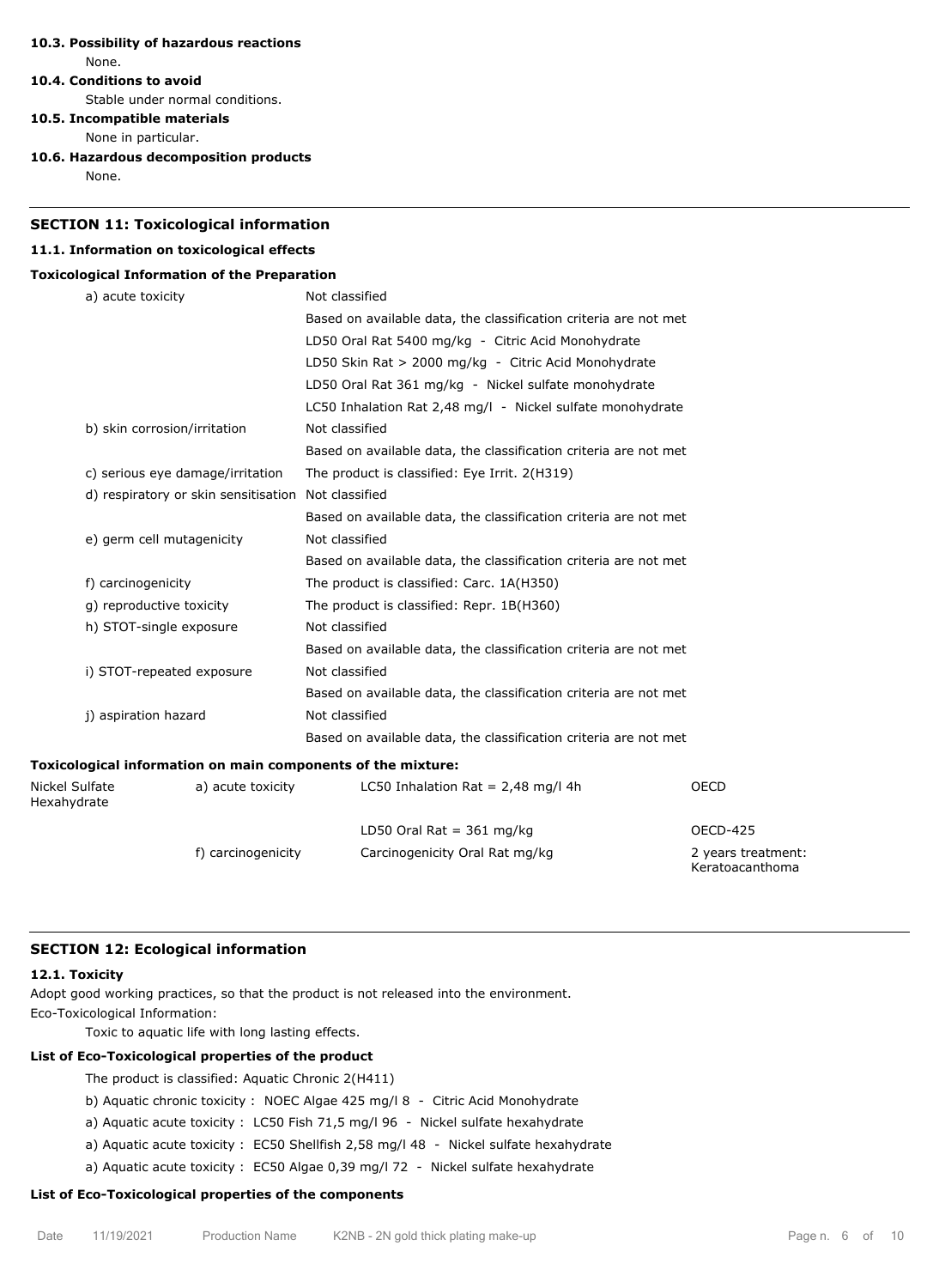## **10.3. Possibility of hazardous reactions** None.

#### **10.4. Conditions to avoid**

Stable under normal conditions.

## **10.5. Incompatible materials**

None in particular.

**10.6. Hazardous decomposition products**

None.

## **SECTION 11: Toxicological information**

#### **11.1. Information on toxicological effects**

#### **Toxicological Information of the Preparation**

|                               | a) acute toxicity                                            | Not classified                                                   |                                       |  |  |
|-------------------------------|--------------------------------------------------------------|------------------------------------------------------------------|---------------------------------------|--|--|
|                               |                                                              | Based on available data, the classification criteria are not met |                                       |  |  |
|                               |                                                              | LD50 Oral Rat 5400 mg/kg - Citric Acid Monohydrate               |                                       |  |  |
|                               |                                                              | LD50 Skin Rat > 2000 mg/kg - Citric Acid Monohydrate             |                                       |  |  |
|                               |                                                              | LD50 Oral Rat 361 mg/kg - Nickel sulfate monohydrate             |                                       |  |  |
|                               |                                                              | LC50 Inhalation Rat 2,48 mg/l - Nickel sulfate monohydrate       |                                       |  |  |
|                               | b) skin corrosion/irritation                                 | Not classified                                                   |                                       |  |  |
|                               |                                                              | Based on available data, the classification criteria are not met |                                       |  |  |
|                               | c) serious eye damage/irritation                             | The product is classified: Eye Irrit. 2(H319)                    |                                       |  |  |
|                               | d) respiratory or skin sensitisation Not classified          |                                                                  |                                       |  |  |
|                               |                                                              | Based on available data, the classification criteria are not met |                                       |  |  |
|                               | e) germ cell mutagenicity                                    | Not classified                                                   |                                       |  |  |
|                               |                                                              | Based on available data, the classification criteria are not met |                                       |  |  |
|                               | f) carcinogenicity                                           | The product is classified: Carc. 1A(H350)                        |                                       |  |  |
|                               | g) reproductive toxicity                                     | The product is classified: Repr. 1B(H360)                        |                                       |  |  |
|                               | h) STOT-single exposure                                      | Not classified                                                   |                                       |  |  |
|                               |                                                              | Based on available data, the classification criteria are not met |                                       |  |  |
|                               | i) STOT-repeated exposure                                    | Not classified                                                   |                                       |  |  |
|                               |                                                              | Based on available data, the classification criteria are not met |                                       |  |  |
|                               | j) aspiration hazard                                         | Not classified                                                   |                                       |  |  |
|                               |                                                              | Based on available data, the classification criteria are not met |                                       |  |  |
|                               | Toxicological information on main components of the mixture: |                                                                  |                                       |  |  |
| Nickel Sulfate<br>Hexahydrate | a) acute toxicity                                            | LC50 Inhalation Rat = $2,48$ mg/l 4h                             | <b>OECD</b>                           |  |  |
|                               |                                                              | LD50 Oral Rat = $361$ mg/kg                                      | <b>OECD-425</b>                       |  |  |
|                               | f) carcinogenicity                                           | Carcinogenicity Oral Rat mg/kg                                   | 2 years treatment:<br>Keratoacanthoma |  |  |

## **SECTION 12: Ecological information**

#### **12.1. Toxicity**

Adopt good working practices, so that the product is not released into the environment. Eco-Toxicological Information:

Toxic to aquatic life with long lasting effects.

#### **List of Eco-Toxicological properties of the product**

The product is classified: Aquatic Chronic 2(H411)

- b) Aquatic chronic toxicity : NOEC Algae 425 mg/l 8 Citric Acid Monohydrate
- a) Aquatic acute toxicity : LC50 Fish 71,5 mg/l 96 Nickel sulfate hexahydrate
- a) Aquatic acute toxicity : EC50 Shellfish 2,58 mg/l 48 Nickel sulfate hexahydrate
- a) Aquatic acute toxicity : EC50 Algae 0,39 mg/l 72 Nickel sulfate hexahydrate

## **List of Eco-Toxicological properties of the components**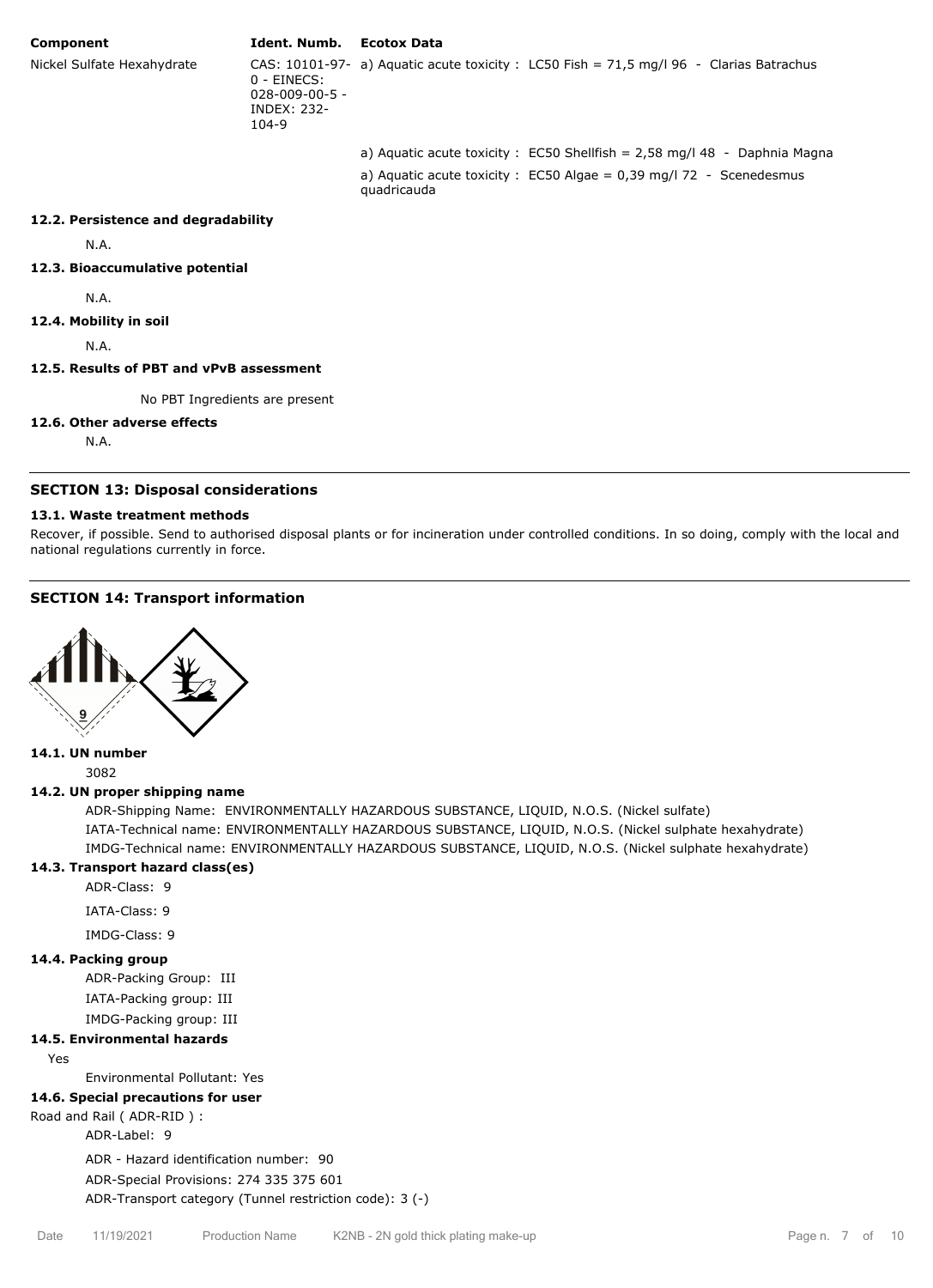#### **Component Ident. Numb. Ecotox Data**

quadricauda

Nickel Sulfate Hexahydrate

 $0 -$ FINECS: 028-009-00-5 - INDEX: 232- 104-9 CAS: 10101-97- a) Aquatic acute toxicity : LC50 Fish = 71,5 mg/l 96 - Clarias Batrachus

a) Aquatic acute toxicity : EC50 Shellfish = 2,58 mg/l 48 - Daphnia Magna a) Aquatic acute toxicity :  $EC50$  Algae = 0,39 mg/l 72 - Scenedesmus

#### **12.2. Persistence and degradability**

N.A.

## **12.3. Bioaccumulative potential**

N.A.

**12.4. Mobility in soil**

N.A.

#### **12.5. Results of PBT and vPvB assessment**

No PBT Ingredients are present

#### **12.6. Other adverse effects**

N.A.

#### **SECTION 13: Disposal considerations**

#### **13.1. Waste treatment methods**

Recover, if possible. Send to authorised disposal plants or for incineration under controlled conditions. In so doing, comply with the local and national regulations currently in force.

## **SECTION 14: Transport information**



# **14.1. UN number**

3082

#### **14.2. UN proper shipping name**

ADR-Shipping Name: ENVIRONMENTALLY HAZARDOUS SUBSTANCE, LIQUID, N.O.S. (Nickel sulfate) IATA-Technical name: ENVIRONMENTALLY HAZARDOUS SUBSTANCE, LIQUID, N.O.S. (Nickel sulphate hexahydrate) IMDG-Technical name: ENVIRONMENTALLY HAZARDOUS SUBSTANCE, LIQUID, N.O.S. (Nickel sulphate hexahydrate)

## **14.3. Transport hazard class(es)**

ADR-Class: 9

IATA-Class: 9

IMDG-Class: 9

#### **14.4. Packing group**

ADR-Packing Group: III IATA-Packing group: III IMDG-Packing group: III

#### **14.5. Environmental hazards**

Yes

Environmental Pollutant: Yes

#### **14.6. Special precautions for user**

Road and Rail ( ADR-RID ) :

ADR-Label: 9

ADR - Hazard identification number: 90

ADR-Special Provisions: 274 335 375 601 ADR-Transport category (Tunnel restriction code): 3 (-)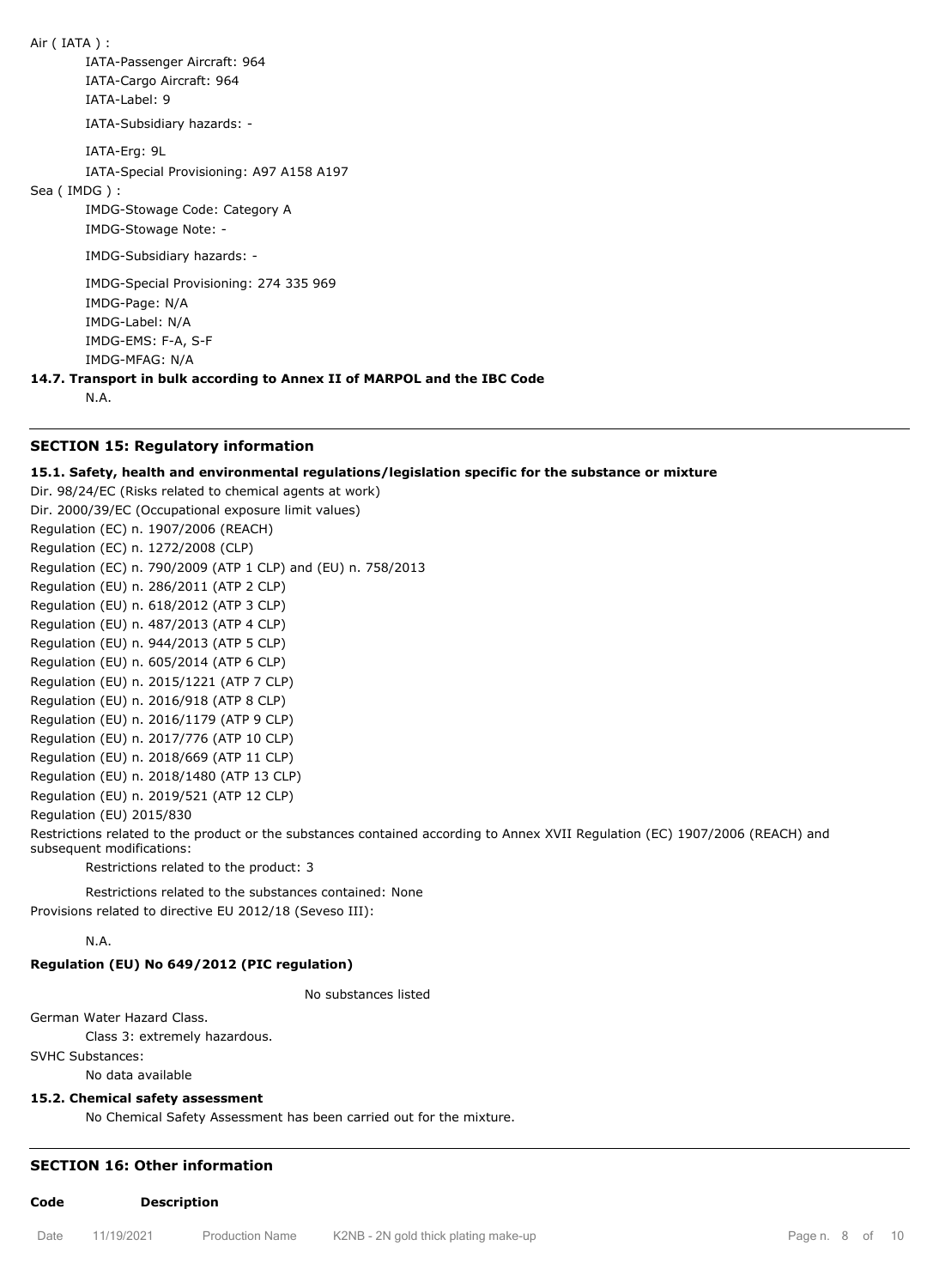Air ( IATA ) : IATA-Passenger Aircraft: 964 IATA-Cargo Aircraft: 964 IATA-Label: 9 IATA-Subsidiary hazards: - IATA-Erg: 9L IATA-Special Provisioning: A97 A158 A197 Sea ( IMDG ) : IMDG-Stowage Code: Category A IMDG-Stowage Note: - IMDG-Subsidiary hazards: - IMDG-Special Provisioning: 274 335 969 IMDG-Page: N/A IMDG-Label: N/A IMDG-EMS: F-A, S-F IMDG-MFAG: N/A

**14.7. Transport in bulk according to Annex II of MARPOL and the IBC Code**

N.A.

## **SECTION 15: Regulatory information**

#### **15.1. Safety, health and environmental regulations/legislation specific for the substance or mixture**

Dir. 98/24/EC (Risks related to chemical agents at work) Dir. 2000/39/EC (Occupational exposure limit values) Regulation (EC) n. 1907/2006 (REACH) Regulation (EC) n. 1272/2008 (CLP) Regulation (EC) n. 790/2009 (ATP 1 CLP) and (EU) n. 758/2013 Regulation (EU) n. 286/2011 (ATP 2 CLP) Regulation (EU) n. 618/2012 (ATP 3 CLP) Regulation (EU) n. 487/2013 (ATP 4 CLP) Regulation (EU) n. 944/2013 (ATP 5 CLP) Regulation (EU) n. 605/2014 (ATP 6 CLP) Regulation (EU) n. 2015/1221 (ATP 7 CLP) Regulation (EU) n. 2016/918 (ATP 8 CLP) Regulation (EU) n. 2016/1179 (ATP 9 CLP) Regulation (EU) n. 2017/776 (ATP 10 CLP) Regulation (EU) n. 2018/669 (ATP 11 CLP) Regulation (EU) n. 2018/1480 (ATP 13 CLP) Regulation (EU) n. 2019/521 (ATP 12 CLP) Regulation (EU) 2015/830

Restrictions related to the product or the substances contained according to Annex XVII Regulation (EC) 1907/2006 (REACH) and subsequent modifications:

Restrictions related to the product: 3

Restrictions related to the substances contained: None Provisions related to directive EU 2012/18 (Seveso III):

N.A.

## **Regulation (EU) No 649/2012 (PIC regulation)**

No substances listed

German Water Hazard Class.

Class 3: extremely hazardous.

SVHC Substances:

No data available

## **15.2. Chemical safety assessment**

No Chemical Safety Assessment has been carried out for the mixture.

## **SECTION 16: Other information**

**Code Description**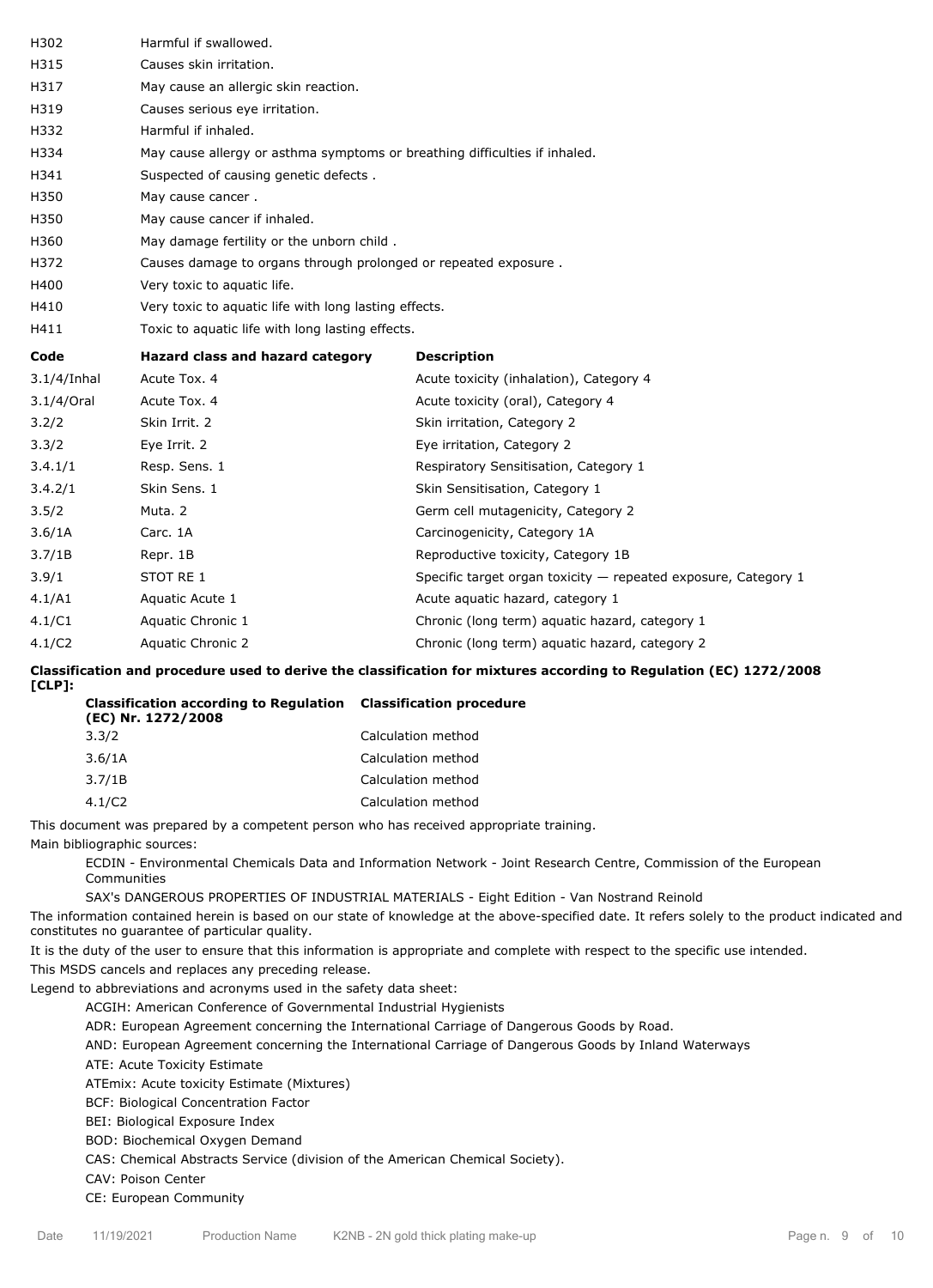| H302           | Harmful if swallowed.                                                      |                                                                |  |  |
|----------------|----------------------------------------------------------------------------|----------------------------------------------------------------|--|--|
| H315           | Causes skin irritation.                                                    |                                                                |  |  |
| H317           | May cause an allergic skin reaction.                                       |                                                                |  |  |
| H319           | Causes serious eye irritation.                                             |                                                                |  |  |
| H332           | Harmful if inhaled.                                                        |                                                                |  |  |
| H334           | May cause allergy or asthma symptoms or breathing difficulties if inhaled. |                                                                |  |  |
| H341           | Suspected of causing genetic defects.                                      |                                                                |  |  |
| H350           | May cause cancer.                                                          |                                                                |  |  |
| H350           | May cause cancer if inhaled.                                               |                                                                |  |  |
| H360           | May damage fertility or the unborn child.                                  |                                                                |  |  |
| H372           | Causes damage to organs through prolonged or repeated exposure.            |                                                                |  |  |
| H400           | Very toxic to aquatic life.                                                |                                                                |  |  |
| H410           | Very toxic to aquatic life with long lasting effects.                      |                                                                |  |  |
| H411           | Toxic to aquatic life with long lasting effects.                           |                                                                |  |  |
|                |                                                                            |                                                                |  |  |
| Code           | Hazard class and hazard category                                           | <b>Description</b>                                             |  |  |
| $3.1/4$ /Inhal | Acute Tox. 4                                                               | Acute toxicity (inhalation), Category 4                        |  |  |
| 3.1/4/Oral     | Acute Tox. 4                                                               | Acute toxicity (oral), Category 4                              |  |  |
| 3.2/2          | Skin Irrit. 2                                                              | Skin irritation, Category 2                                    |  |  |
| 3.3/2          | Eye Irrit. 2                                                               | Eye irritation, Category 2                                     |  |  |
| 3.4.1/1        | Resp. Sens. 1                                                              | Respiratory Sensitisation, Category 1                          |  |  |
| 3.4.2/1        | Skin Sens. 1                                                               | Skin Sensitisation, Category 1                                 |  |  |
| 3.5/2          | Muta. 2                                                                    | Germ cell mutagenicity, Category 2                             |  |  |
| 3.6/1A         | Carc. 1A                                                                   | Carcinogenicity, Category 1A                                   |  |  |
| 3.7/1B         | Repr. 1B                                                                   | Reproductive toxicity, Category 1B                             |  |  |
| 3.9/1          | STOT RE 1                                                                  | Specific target organ toxicity - repeated exposure, Category 1 |  |  |
| 4.1/A1         | Aquatic Acute 1                                                            | Acute aquatic hazard, category 1                               |  |  |
| 4.1/C1         | Aquatic Chronic 1                                                          | Chronic (long term) aquatic hazard, category 1                 |  |  |
| 4.1/C2         | Aquatic Chronic 2                                                          | Chronic (long term) aquatic hazard, category 2                 |  |  |

**Classification and procedure used to derive the classification for mixtures according to Regulation (EC) 1272/2008 [CLP]:**

| <b>Classification according to Regulation Classification procedure</b><br>(EC) Nr. 1272/2008 |                    |
|----------------------------------------------------------------------------------------------|--------------------|
| 3.3/2                                                                                        | Calculation method |
| 3.6/1A                                                                                       | Calculation method |
| 3.7/1B                                                                                       | Calculation method |
| 4.1/C2                                                                                       | Calculation method |

This document was prepared by a competent person who has received appropriate training.

Main bibliographic sources:

ECDIN - Environmental Chemicals Data and Information Network - Joint Research Centre, Commission of the European Communities

SAX's DANGEROUS PROPERTIES OF INDUSTRIAL MATERIALS - Eight Edition - Van Nostrand Reinold

The information contained herein is based on our state of knowledge at the above-specified date. It refers solely to the product indicated and constitutes no guarantee of particular quality.

It is the duty of the user to ensure that this information is appropriate and complete with respect to the specific use intended.

This MSDS cancels and replaces any preceding release.

Legend to abbreviations and acronyms used in the safety data sheet:

ACGIH: American Conference of Governmental Industrial Hygienists

ADR: European Agreement concerning the International Carriage of Dangerous Goods by Road.

AND: European Agreement concerning the International Carriage of Dangerous Goods by Inland Waterways

ATE: Acute Toxicity Estimate

ATEmix: Acute toxicity Estimate (Mixtures)

BCF: Biological Concentration Factor

BEI: Biological Exposure Index

BOD: Biochemical Oxygen Demand

CAS: Chemical Abstracts Service (division of the American Chemical Society).

CAV: Poison Center

CE: European Community